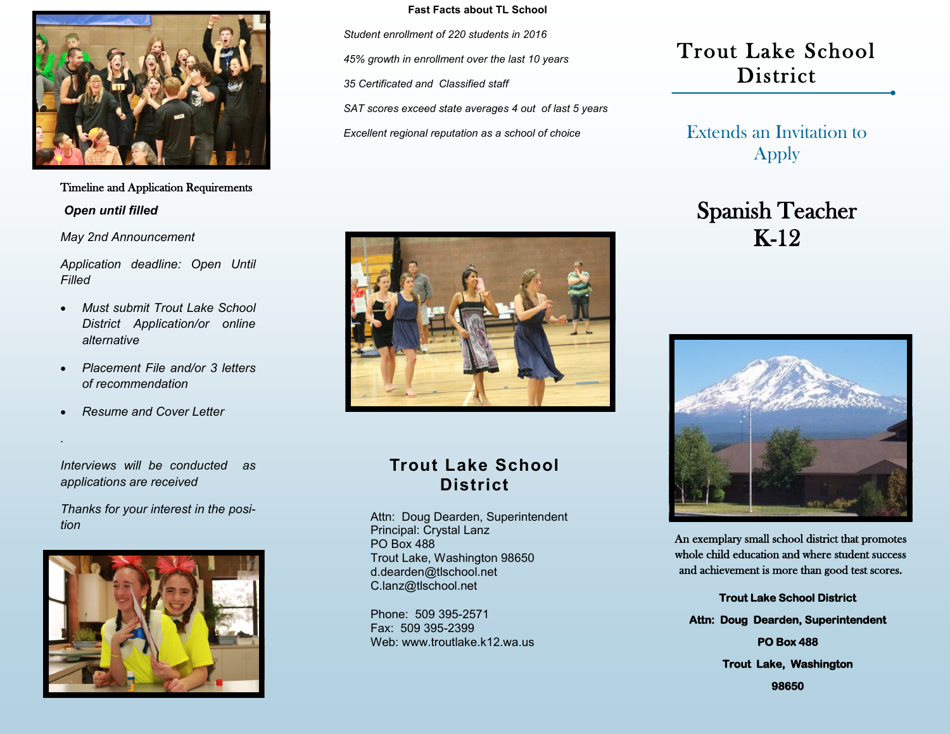

*Open until filled* Timeline and Application Requirements

*May 2nd Announcement*

*Application deadline: Open Until Filled*

- *Must submit Trout Lake School District Application/or online alternative*
- *Placement File and/or 3 letters of recommendation*
- *Resume and Cover Letter*

*.*

*Interviews will be conducted as applications are received* 

*Thanks for your interest in the position*



#### **Fast Facts about TL School**

*Student enrollment of 220 students in 2016 45% growth in enrollment over the last 10 years 35 Certificated and Classified staff SAT scores exceed state averages 4 out of last 5 years*

*Excellent regional reputation as a school of choice*



#### **Trout Lake School District**

Attn: Doug Dearden, Superintendent Principal: Crystal Lanz PO Box 488 Trout Lake, Washington 98650 d.dearden@tlschool.net C.lanz@tlschool.net

Phone: 509 395-2571 Fax: 509 395-2399 Web: www.troutlake.k12.wa.us

### Trout Lake School District

Extends an Invitation to Apply

## Spanish Teacher K-12



An exemplary small school district that promotes whole child education and where student success and achievement is more than good test scores.

**Trout Lake School District Attn: Doug Dearden, Superintendent PO Box 488 Trout Lake, Washington** 

**98650**